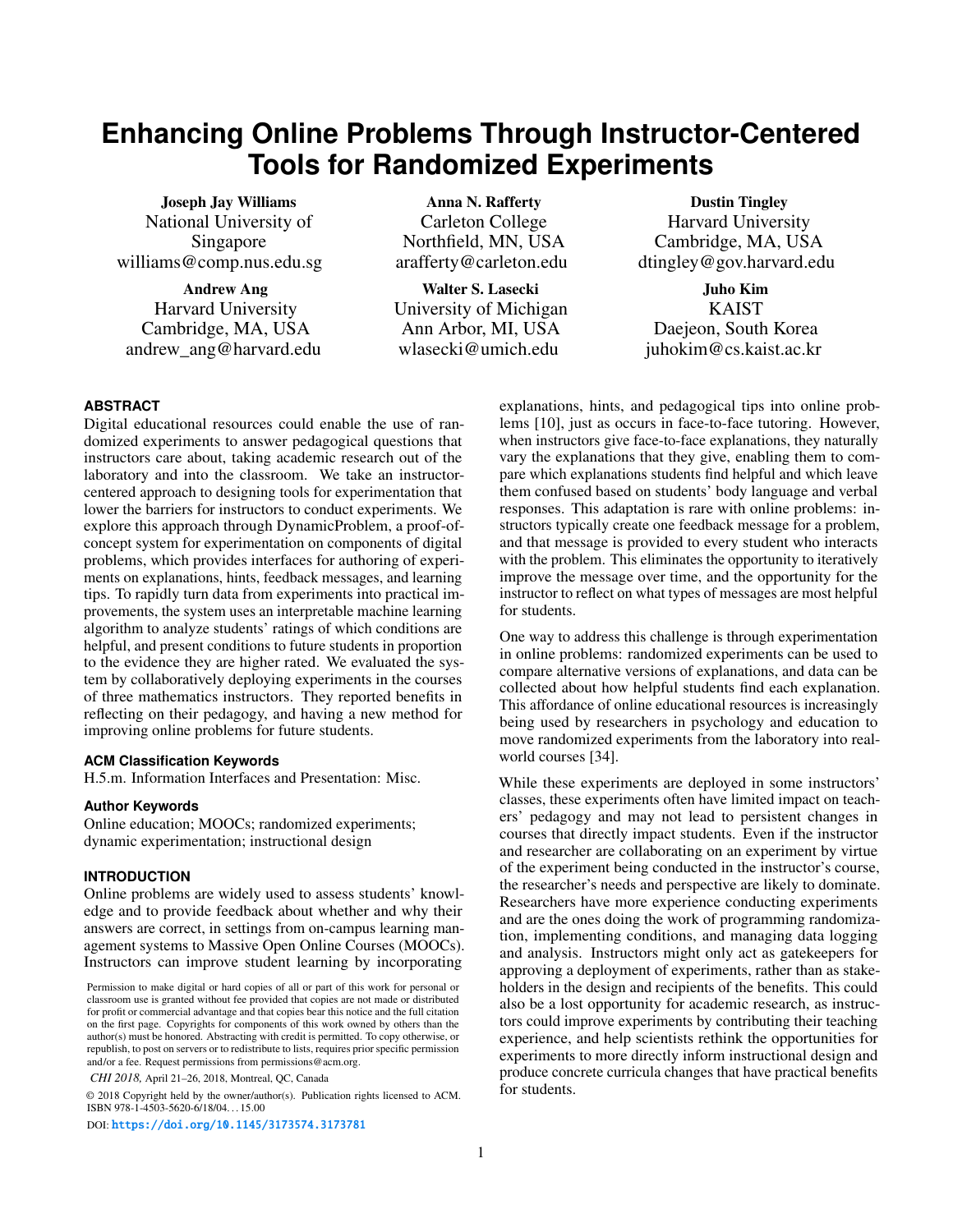# **Enhancing Online Problems Through Instructor-Centered Tools for Randomized Experiments**

Joseph Jay Williams National University of Singapore williams@comp.nus.edu.sg

Andrew Ang Harvard University Cambridge, MA, USA andrew\_ang@harvard.edu

Anna N. Rafferty Carleton College Northfield, MN, USA arafferty@carleton.edu

Walter S. Lasecki University of Michigan Ann Arbor, MI, USA wlasecki@umich.edu

Dustin Tingley Harvard University Cambridge, MA, USA dtingley@gov.harvard.edu

Juho Kim KAIST Daejeon, South Korea juhokim@cs.kaist.ac.kr

# **ABSTRACT**

Digital educational resources could enable the use of randomized experiments to answer pedagogical questions that instructors care about, taking academic research out of the laboratory and into the classroom. We take an instructorcentered approach to designing tools for experimentation that lower the barriers for instructors to conduct experiments. We explore this approach through DynamicProblem, a proof-ofconcept system for experimentation on components of digital problems, which provides interfaces for authoring of experiments on explanations, hints, feedback messages, and learning tips. To rapidly turn data from experiments into practical improvements, the system uses an interpretable machine learning algorithm to analyze students' ratings of which conditions are helpful, and present conditions to future students in proportion to the evidence they are higher rated. We evaluated the system by collaboratively deploying experiments in the courses of three mathematics instructors. They reported benefits in reflecting on their pedagogy, and having a new method for improving online problems for future students.

#### **ACM Classification Keywords**

H.5.m. Information Interfaces and Presentation: Misc.

# **Author Keywords**

Online education; MOOCs; randomized experiments; dynamic experimentation; instructional design

# **INTRODUCTION**

Online problems are widely used to assess students' knowledge and to provide feedback about whether and why their answers are correct, in settings from on-campus learning management systems to Massive Open Online Courses (MOOCs). Instructors can improve student learning by incorporating

*CHI 2018,* April 21–26, 2018, Montreal, QC, Canada

© 2018 Copyright held by the owner/author(s). Publication rights licensed to ACM. ISBN 978-1-4503-5620-6/18/04. . . 15.00

DOI: <https://doi.org/10.1145/3173574.3173781>

explanations, hints, and pedagogical tips into online problems [\[10\]](#page-10-0), just as occurs in face-to-face tutoring. However, when instructors give face-to-face explanations, they naturally vary the explanations that they give, enabling them to compare which explanations students find helpful and which leave them confused based on students' body language and verbal responses. This adaptation is rare with online problems: instructors typically create one feedback message for a problem, and that message is provided to every student who interacts with the problem. This eliminates the opportunity to iteratively improve the message over time, and the opportunity for the instructor to reflect on what types of messages are most helpful for students.

One way to address this challenge is through experimentation in online problems: randomized experiments can be used to compare alternative versions of explanations, and data can be collected about how helpful students find each explanation. This affordance of online educational resources is increasingly being used by researchers in psychology and education to move randomized experiments from the laboratory into realworld courses [\[34\]](#page-11-0).

While these experiments are deployed in some instructors' classes, these experiments often have limited impact on teachers' pedagogy and may not lead to persistent changes in courses that directly impact students. Even if the instructor and researcher are collaborating on an experiment by virtue of the experiment being conducted in the instructor's course, the researcher's needs and perspective are likely to dominate. Researchers have more experience conducting experiments and are the ones doing the work of programming randomization, implementing conditions, and managing data logging and analysis. Instructors might only act as gatekeepers for approving a deployment of experiments, rather than as stakeholders in the design and recipients of the benefits. This could also be a lost opportunity for academic research, as instructors could improve experiments by contributing their teaching experience, and help scientists rethink the opportunities for experiments to more directly inform instructional design and produce concrete curricula changes that have practical benefits for students.

Permission to make digital or hard copies of all or part of this work for personal or classroom use is granted without fee provided that copies are not made or distributed for profit or commercial advantage and that copies bear this notice and the full citation on the first page. Copyrights for components of this work owned by others than the author(s) must be honored. Abstracting with credit is permitted. To copy otherwise, or republish, to post on servers or to redistribute to lists, requires prior specific permission and/or a fee. Request permissions from permissions@acm.org.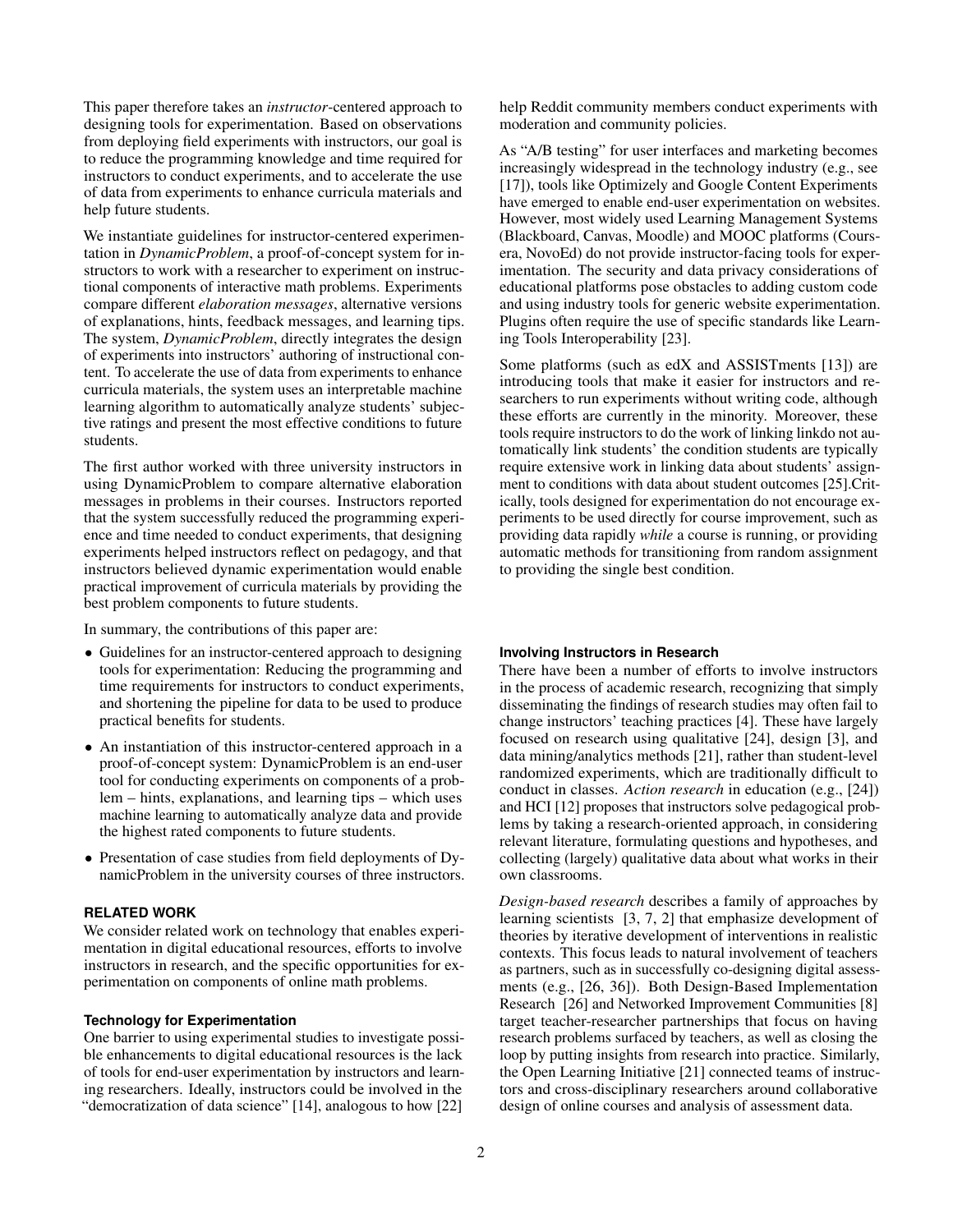This paper therefore takes an *instructor*-centered approach to designing tools for experimentation. Based on observations from deploying field experiments with instructors, our goal is to reduce the programming knowledge and time required for instructors to conduct experiments, and to accelerate the use of data from experiments to enhance curricula materials and help future students.

We instantiate guidelines for instructor-centered experimentation in *DynamicProblem*, a proof-of-concept system for instructors to work with a researcher to experiment on instructional components of interactive math problems. Experiments compare different *elaboration messages*, alternative versions of explanations, hints, feedback messages, and learning tips. The system, *DynamicProblem*, directly integrates the design of experiments into instructors' authoring of instructional content. To accelerate the use of data from experiments to enhance curricula materials, the system uses an interpretable machine learning algorithm to automatically analyze students' subjective ratings and present the most effective conditions to future students.

The first author worked with three university instructors in using DynamicProblem to compare alternative elaboration messages in problems in their courses. Instructors reported that the system successfully reduced the programming experience and time needed to conduct experiments, that designing experiments helped instructors reflect on pedagogy, and that instructors believed dynamic experimentation would enable practical improvement of curricula materials by providing the best problem components to future students.

In summary, the contributions of this paper are:

- Guidelines for an instructor-centered approach to designing tools for experimentation: Reducing the programming and time requirements for instructors to conduct experiments, and shortening the pipeline for data to be used to produce practical benefits for students.
- An instantiation of this instructor-centered approach in a proof-of-concept system: DynamicProblem is an end-user tool for conducting experiments on components of a problem – hints, explanations, and learning tips – which uses machine learning to automatically analyze data and provide the highest rated components to future students.
- Presentation of case studies from field deployments of DynamicProblem in the university courses of three instructors.

# **RELATED WORK**

We consider related work on technology that enables experimentation in digital educational resources, efforts to involve instructors in research, and the specific opportunities for experimentation on components of online math problems.

#### **Technology for Experimentation**

One barrier to using experimental studies to investigate possible enhancements to digital educational resources is the lack of tools for end-user experimentation by instructors and learning researchers. Ideally, instructors could be involved in the "democratization of data science" [\[14\]](#page-10-1), analogous to how [\[22\]](#page-10-2)

help Reddit community members conduct experiments with moderation and community policies.

As "A/B testing" for user interfaces and marketing becomes increasingly widespread in the technology industry (e.g., see [\[17\]](#page-10-3)), tools like Optimizely and Google Content Experiments have emerged to enable end-user experimentation on websites. However, most widely used Learning Management Systems (Blackboard, Canvas, Moodle) and MOOC platforms (Coursera, NovoEd) do not provide instructor-facing tools for experimentation. The security and data privacy considerations of educational platforms pose obstacles to adding custom code and using industry tools for generic website experimentation. Plugins often require the use of specific standards like Learning Tools Interoperability [\[23\]](#page-10-4).

Some platforms (such as edX and ASSISTments [\[13\]](#page-10-5)) are introducing tools that make it easier for instructors and researchers to run experiments without writing code, although these efforts are currently in the minority. Moreover, these tools require instructors to do the work of linking linkdo not automatically link students' the condition students are typically require extensive work in linking data about students' assignment to conditions with data about student outcomes [\[25\]](#page-11-1).Critically, tools designed for experimentation do not encourage experiments to be used directly for course improvement, such as providing data rapidly *while* a course is running, or providing automatic methods for transitioning from random assignment to providing the single best condition.

#### **Involving Instructors in Research**

There have been a number of efforts to involve instructors in the process of academic research, recognizing that simply disseminating the findings of research studies may often fail to change instructors' teaching practices [\[4\]](#page-10-6). These have largely focused on research using qualitative [\[24\]](#page-10-7), design [\[3\]](#page-10-8), and data mining/analytics methods [\[21\]](#page-10-9), rather than student-level randomized experiments, which are traditionally difficult to conduct in classes. *Action research* in education (e.g., [\[24\]](#page-10-7)) and HCI [\[12\]](#page-10-10) proposes that instructors solve pedagogical problems by taking a research-oriented approach, in considering relevant literature, formulating questions and hypotheses, and collecting (largely) qualitative data about what works in their own classrooms.

*Design-based research* describes a family of approaches by learning scientists [\[3,](#page-10-8) [7,](#page-10-11) [2\]](#page-10-12) that emphasize development of theories by iterative development of interventions in realistic contexts. This focus leads to natural involvement of teachers as partners, such as in successfully co-designing digital assessments (e.g., [\[26,](#page-11-2) [36\]](#page-11-3)). Both Design-Based Implementation Research [\[26\]](#page-11-2) and Networked Improvement Communities [\[8\]](#page-10-13) target teacher-researcher partnerships that focus on having research problems surfaced by teachers, as well as closing the loop by putting insights from research into practice. Similarly, the Open Learning Initiative [\[21\]](#page-10-9) connected teams of instructors and cross-disciplinary researchers around collaborative design of online courses and analysis of assessment data.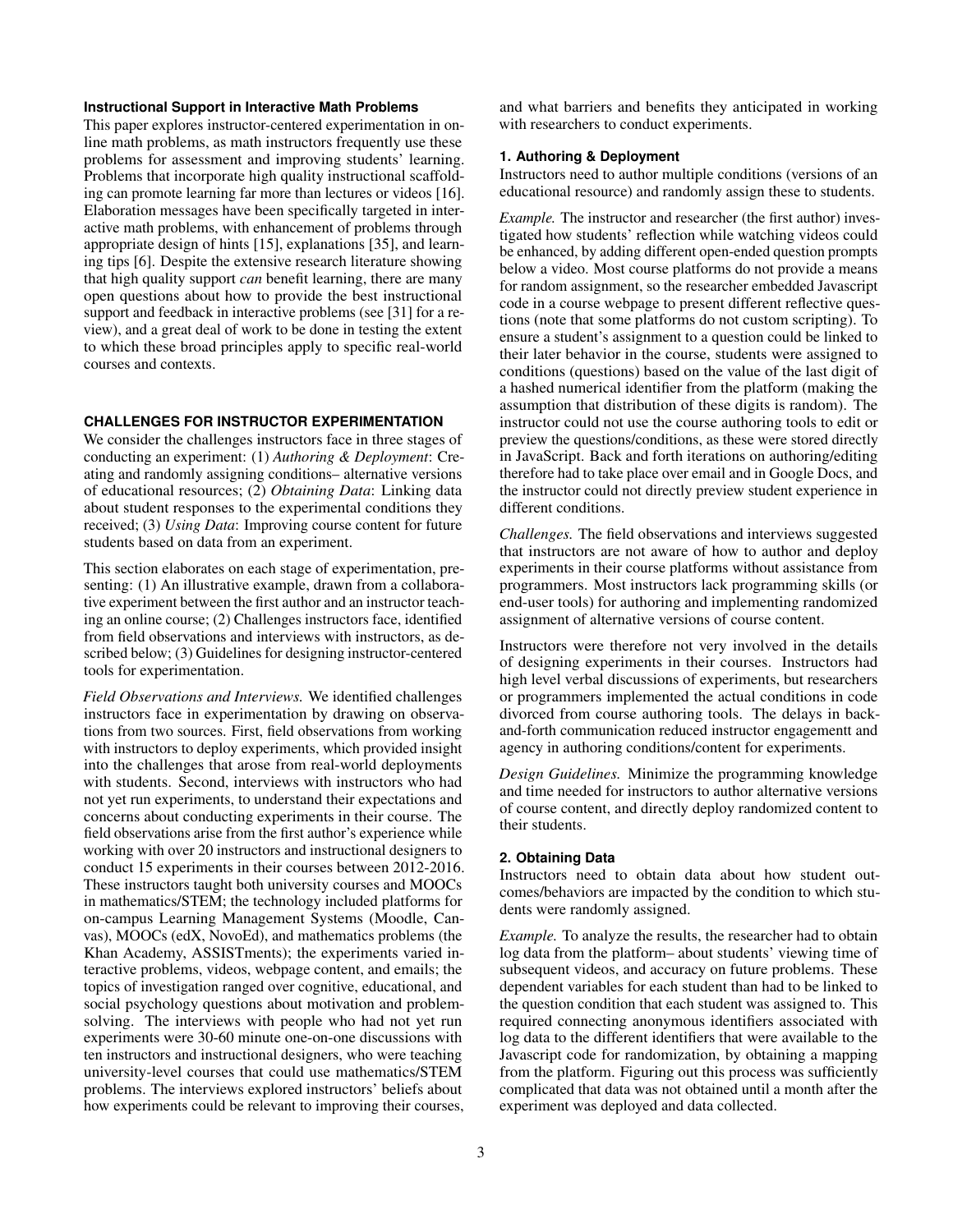# **Instructional Support in Interactive Math Problems**

This paper explores instructor-centered experimentation in online math problems, as math instructors frequently use these problems for assessment and improving students' learning. Problems that incorporate high quality instructional scaffolding can promote learning far more than lectures or videos [\[16\]](#page-10-14). Elaboration messages have been specifically targeted in interactive math problems, with enhancement of problems through appropriate design of hints [\[15\]](#page-10-15), explanations [\[35\]](#page-11-4), and learning tips [\[6\]](#page-10-16). Despite the extensive research literature showing that high quality support *can* benefit learning, there are many open questions about how to provide the best instructional support and feedback in interactive problems (see [\[31\]](#page-11-5) for a review), and a great deal of work to be done in testing the extent to which these broad principles apply to specific real-world courses and contexts.

# **CHALLENGES FOR INSTRUCTOR EXPERIMENTATION**

We consider the challenges instructors face in three stages of conducting an experiment: (1) *Authoring & Deployment*: Creating and randomly assigning conditions– alternative versions of educational resources; (2) *Obtaining Data*: Linking data about student responses to the experimental conditions they received; (3) *Using Data*: Improving course content for future students based on data from an experiment.

This section elaborates on each stage of experimentation, presenting: (1) An illustrative example, drawn from a collaborative experiment between the first author and an instructor teaching an online course; (2) Challenges instructors face, identified from field observations and interviews with instructors, as described below; (3) Guidelines for designing instructor-centered tools for experimentation.

*Field Observations and Interviews.* We identified challenges instructors face in experimentation by drawing on observations from two sources. First, field observations from working with instructors to deploy experiments, which provided insight into the challenges that arose from real-world deployments with students. Second, interviews with instructors who had not yet run experiments, to understand their expectations and concerns about conducting experiments in their course. The field observations arise from the first author's experience while working with over 20 instructors and instructional designers to conduct 15 experiments in their courses between 2012-2016. These instructors taught both university courses and MOOCs in mathematics/STEM; the technology included platforms for on-campus Learning Management Systems (Moodle, Canvas), MOOCs (edX, NovoEd), and mathematics problems (the Khan Academy, ASSISTments); the experiments varied interactive problems, videos, webpage content, and emails; the topics of investigation ranged over cognitive, educational, and social psychology questions about motivation and problemsolving. The interviews with people who had not yet run experiments were 30-60 minute one-on-one discussions with ten instructors and instructional designers, who were teaching university-level courses that could use mathematics/STEM problems. The interviews explored instructors' beliefs about how experiments could be relevant to improving their courses, and what barriers and benefits they anticipated in working with researchers to conduct experiments.

# **1. Authoring & Deployment**

Instructors need to author multiple conditions (versions of an educational resource) and randomly assign these to students.

*Example.* The instructor and researcher (the first author) investigated how students' reflection while watching videos could be enhanced, by adding different open-ended question prompts below a video. Most course platforms do not provide a means for random assignment, so the researcher embedded Javascript code in a course webpage to present different reflective questions (note that some platforms do not custom scripting). To ensure a student's assignment to a question could be linked to their later behavior in the course, students were assigned to conditions (questions) based on the value of the last digit of a hashed numerical identifier from the platform (making the assumption that distribution of these digits is random). The instructor could not use the course authoring tools to edit or preview the questions/conditions, as these were stored directly in JavaScript. Back and forth iterations on authoring/editing therefore had to take place over email and in Google Docs, and the instructor could not directly preview student experience in different conditions.

*Challenges.* The field observations and interviews suggested that instructors are not aware of how to author and deploy experiments in their course platforms without assistance from programmers. Most instructors lack programming skills (or end-user tools) for authoring and implementing randomized assignment of alternative versions of course content.

Instructors were therefore not very involved in the details of designing experiments in their courses. Instructors had high level verbal discussions of experiments, but researchers or programmers implemented the actual conditions in code divorced from course authoring tools. The delays in backand-forth communication reduced instructor engagementt and agency in authoring conditions/content for experiments.

*Design Guidelines.* Minimize the programming knowledge and time needed for instructors to author alternative versions of course content, and directly deploy randomized content to their students.

# **2. Obtaining Data**

Instructors need to obtain data about how student outcomes/behaviors are impacted by the condition to which students were randomly assigned.

*Example.* To analyze the results, the researcher had to obtain log data from the platform– about students' viewing time of subsequent videos, and accuracy on future problems. These dependent variables for each student than had to be linked to the question condition that each student was assigned to. This required connecting anonymous identifiers associated with log data to the different identifiers that were available to the Javascript code for randomization, by obtaining a mapping from the platform. Figuring out this process was sufficiently complicated that data was not obtained until a month after the experiment was deployed and data collected.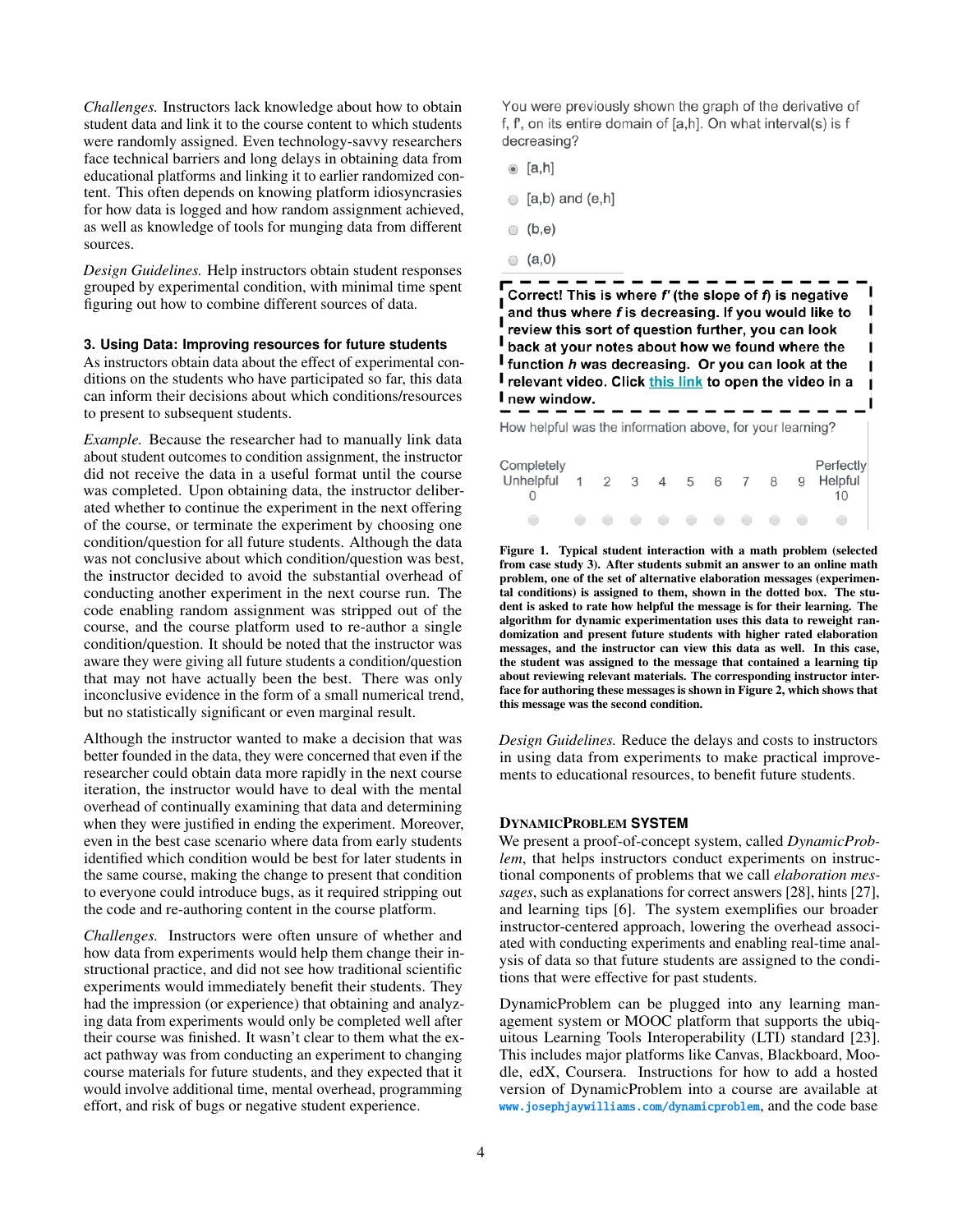*Challenges.* Instructors lack knowledge about how to obtain student data and link it to the course content to which students were randomly assigned. Even technology-savvy researchers face technical barriers and long delays in obtaining data from educational platforms and linking it to earlier randomized content. This often depends on knowing platform idiosyncrasies for how data is logged and how random assignment achieved, as well as knowledge of tools for munging data from different sources.

*Design Guidelines.* Help instructors obtain student responses grouped by experimental condition, with minimal time spent figuring out how to combine different sources of data.

#### **3. Using Data: Improving resources for future students**

As instructors obtain data about the effect of experimental conditions on the students who have participated so far, this data can inform their decisions about which conditions/resources to present to subsequent students.

*Example.* Because the researcher had to manually link data about student outcomes to condition assignment, the instructor did not receive the data in a useful format until the course was completed. Upon obtaining data, the instructor deliberated whether to continue the experiment in the next offering of the course, or terminate the experiment by choosing one condition/question for all future students. Although the data was not conclusive about which condition/question was best, the instructor decided to avoid the substantial overhead of conducting another experiment in the next course run. The code enabling random assignment was stripped out of the course, and the course platform used to re-author a single condition/question. It should be noted that the instructor was aware they were giving all future students a condition/question that may not have actually been the best. There was only inconclusive evidence in the form of a small numerical trend, but no statistically significant or even marginal result.

Although the instructor wanted to make a decision that was better founded in the data, they were concerned that even if the researcher could obtain data more rapidly in the next course iteration, the instructor would have to deal with the mental overhead of continually examining that data and determining when they were justified in ending the experiment. Moreover, even in the best case scenario where data from early students identified which condition would be best for later students in the same course, making the change to present that condition to everyone could introduce bugs, as it required stripping out the code and re-authoring content in the course platform.

*Challenges.* Instructors were often unsure of whether and how data from experiments would help them change their instructional practice, and did not see how traditional scientific experiments would immediately benefit their students. They had the impression (or experience) that obtaining and analyzing data from experiments would only be completed well after their course was finished. It wasn't clear to them what the exact pathway was from conducting an experiment to changing course materials for future students, and they expected that it would involve additional time, mental overhead, programming effort, and risk of bugs or negative student experience.

You were previously shown the graph of the derivative of f, f', on its entire domain of [a,h]. On what interval(s) is f decreasing?

| $\bullet$ [a,h]         |
|-------------------------|
| $\circ$ [a,b) and (e,h] |
| $\circ$ (b,e)           |
| $\circ$ (a,0)           |



<span id="page-3-0"></span>Figure 1. Typical student interaction with a math problem (selected from case study 3). After students submit an answer to an online math problem, one of the set of alternative elaboration messages (experimental conditions) is assigned to them, shown in the dotted box. The student is asked to rate how helpful the message is for their learning. The algorithm for dynamic experimentation uses this data to reweight randomization and present future students with higher rated elaboration messages, and the instructor can view this data as well. In this case, the student was assigned to the message that contained a learning tip about reviewing relevant materials. The corresponding instructor interface for authoring these messages is shown in Figure [2,](#page-4-0) which shows that this message was the second condition.

*Design Guidelines.* Reduce the delays and costs to instructors in using data from experiments to make practical improvements to educational resources, to benefit future students.

# DYNAMICPROBLEM **SYSTEM**

We present a proof-of-concept system, called *DynamicProblem*, that helps instructors conduct experiments on instructional components of problems that we call *elaboration messages*, such as explanations for correct answers [\[28\]](#page-11-6), hints [\[27\]](#page-11-7), and learning tips [\[6\]](#page-10-16). The system exemplifies our broader instructor-centered approach, lowering the overhead associated with conducting experiments and enabling real-time analysis of data so that future students are assigned to the conditions that were effective for past students.

DynamicProblem can be plugged into any learning management system or MOOC platform that supports the ubiquitous Learning Tools Interoperability (LTI) standard [\[23\]](#page-10-4). This includes major platforms like Canvas, Blackboard, Moodle, edX, Coursera. Instructions for how to add a hosted version of DynamicProblem into a course are available at <www.josephjaywilliams.com/dynamicproblem>, and the code base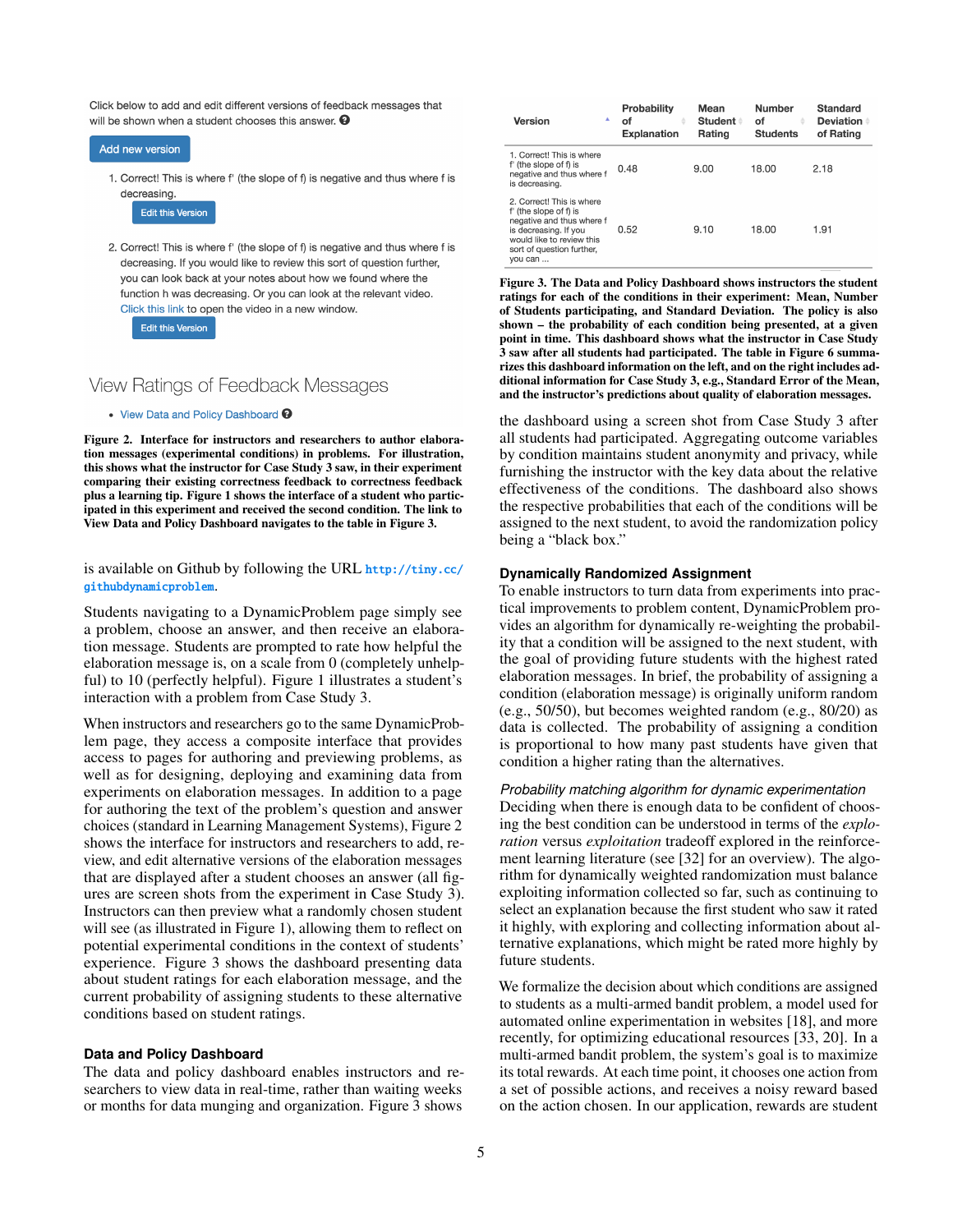Click below to add and edit different versions of feedback messages that will be shown when a student chooses this answer. <sup>O</sup>

#### Add new version

1. Correct! This is where f' (the slope of f) is negative and thus where f is decreasing

Edit this Version

2. Correct! This is where f' (the slope of f) is negative and thus where f is decreasing. If you would like to review this sort of question further, you can look back at your notes about how we found where the function h was decreasing. Or you can look at the relevant video. Click this link to open the video in a new window.

**Edit this Version** 

# **View Ratings of Feedback Messages**

#### <span id="page-4-0"></span>• View Data and Policy Dashboard <sup>O</sup>

Figure 2. Interface for instructors and researchers to author elaboration messages (experimental conditions) in problems. For illustration, this shows what the instructor for Case Study 3 saw, in their experiment comparing their existing correctness feedback to correctness feedback plus a learning tip. Figure [1](#page-3-0) shows the interface of a student who participated in this experiment and received the second condition. The link to View Data and Policy Dashboard navigates to the table in Figure [3.](#page-4-1)

# is available on Github by following the URL [http://tiny.cc/](http://tiny.cc/githubdynamicproblem) [githubdynamicproblem](http://tiny.cc/githubdynamicproblem).

Students navigating to a DynamicProblem page simply see a problem, choose an answer, and then receive an elaboration message. Students are prompted to rate how helpful the elaboration message is, on a scale from 0 (completely unhelpful) to 10 (perfectly helpful). Figure [1](#page-3-0) illustrates a student's interaction with a problem from Case Study 3.

When instructors and researchers go to the same DynamicProblem page, they access a composite interface that provides access to pages for authoring and previewing problems, as well as for designing, deploying and examining data from experiments on elaboration messages. In addition to a page for authoring the text of the problem's question and answer choices (standard in Learning Management Systems), Figure [2](#page-4-0) shows the interface for instructors and researchers to add, review, and edit alternative versions of the elaboration messages that are displayed after a student chooses an answer (all figures are screen shots from the experiment in Case Study 3). Instructors can then preview what a randomly chosen student will see (as illustrated in Figure [1\)](#page-3-0), allowing them to reflect on potential experimental conditions in the context of students' experience. Figure [3](#page-4-1) shows the dashboard presenting data about student ratings for each elaboration message, and the current probability of assigning students to these alternative conditions based on student ratings.

#### **Data and Policy Dashboard**

The data and policy dashboard enables instructors and researchers to view data in real-time, rather than waiting weeks or months for data munging and organization. Figure [3](#page-4-1) shows

| Version<br>$\blacktriangle$                                                                                                                                                    | Probability<br>οf<br><b>Explanation</b> | Mean<br>Student #<br>Rating | <b>Number</b><br>οf<br><b>Students</b> | <b>Standard</b><br><b>Deviation</b><br>of Rating |
|--------------------------------------------------------------------------------------------------------------------------------------------------------------------------------|-----------------------------------------|-----------------------------|----------------------------------------|--------------------------------------------------|
| 1. Correct! This is where<br>f' (the slope of f) is<br>negative and thus where f<br>is decreasing.                                                                             | 0.48                                    | 9.00                        | 18.00                                  | 2.18                                             |
| 2. Correct! This is where<br>f' (the slope of f) is<br>negative and thus where f<br>is decreasing. If you<br>would like to review this<br>sort of question further,<br>vou can | 0.52                                    | 9.10                        | 18.00                                  | 1.91                                             |

<span id="page-4-1"></span>Figure 3. The Data and Policy Dashboard shows instructors the student ratings for each of the conditions in their experiment: Mean, Number of Students participating, and Standard Deviation. The policy is also shown – the probability of each condition being presented, at a given point in time. This dashboard shows what the instructor in Case Study 3 saw after all students had participated. The table in Figure [6](#page-7-0) summarizes this dashboard information on the left, and on the right includes additional information for Case Study 3, e.g., Standard Error of the Mean, and the instructor's predictions about quality of elaboration messages.

the dashboard using a screen shot from Case Study 3 after all students had participated. Aggregating outcome variables by condition maintains student anonymity and privacy, while furnishing the instructor with the key data about the relative effectiveness of the conditions. The dashboard also shows the respective probabilities that each of the conditions will be assigned to the next student, to avoid the randomization policy being a "black box."

#### **Dynamically Randomized Assignment**

To enable instructors to turn data from experiments into practical improvements to problem content, DynamicProblem provides an algorithm for dynamically re-weighting the probability that a condition will be assigned to the next student, with the goal of providing future students with the highest rated elaboration messages. In brief, the probability of assigning a condition (elaboration message) is originally uniform random (e.g., 50/50), but becomes weighted random (e.g., 80/20) as data is collected. The probability of assigning a condition is proportional to how many past students have given that condition a higher rating than the alternatives.

#### *Probability matching algorithm for dynamic experimentation*

Deciding when there is enough data to be confident of choosing the best condition can be understood in terms of the *exploration* versus *exploitation* tradeoff explored in the reinforcement learning literature (see [\[32\]](#page-11-8) for an overview). The algorithm for dynamically weighted randomization must balance exploiting information collected so far, such as continuing to select an explanation because the first student who saw it rated it highly, with exploring and collecting information about alternative explanations, which might be rated more highly by future students.

We formalize the decision about which conditions are assigned to students as a multi-armed bandit problem, a model used for automated online experimentation in websites [\[18\]](#page-10-17), and more recently, for optimizing educational resources [\[33,](#page-11-9) [20\]](#page-10-18). In a multi-armed bandit problem, the system's goal is to maximize its total rewards. At each time point, it chooses one action from a set of possible actions, and receives a noisy reward based on the action chosen. In our application, rewards are student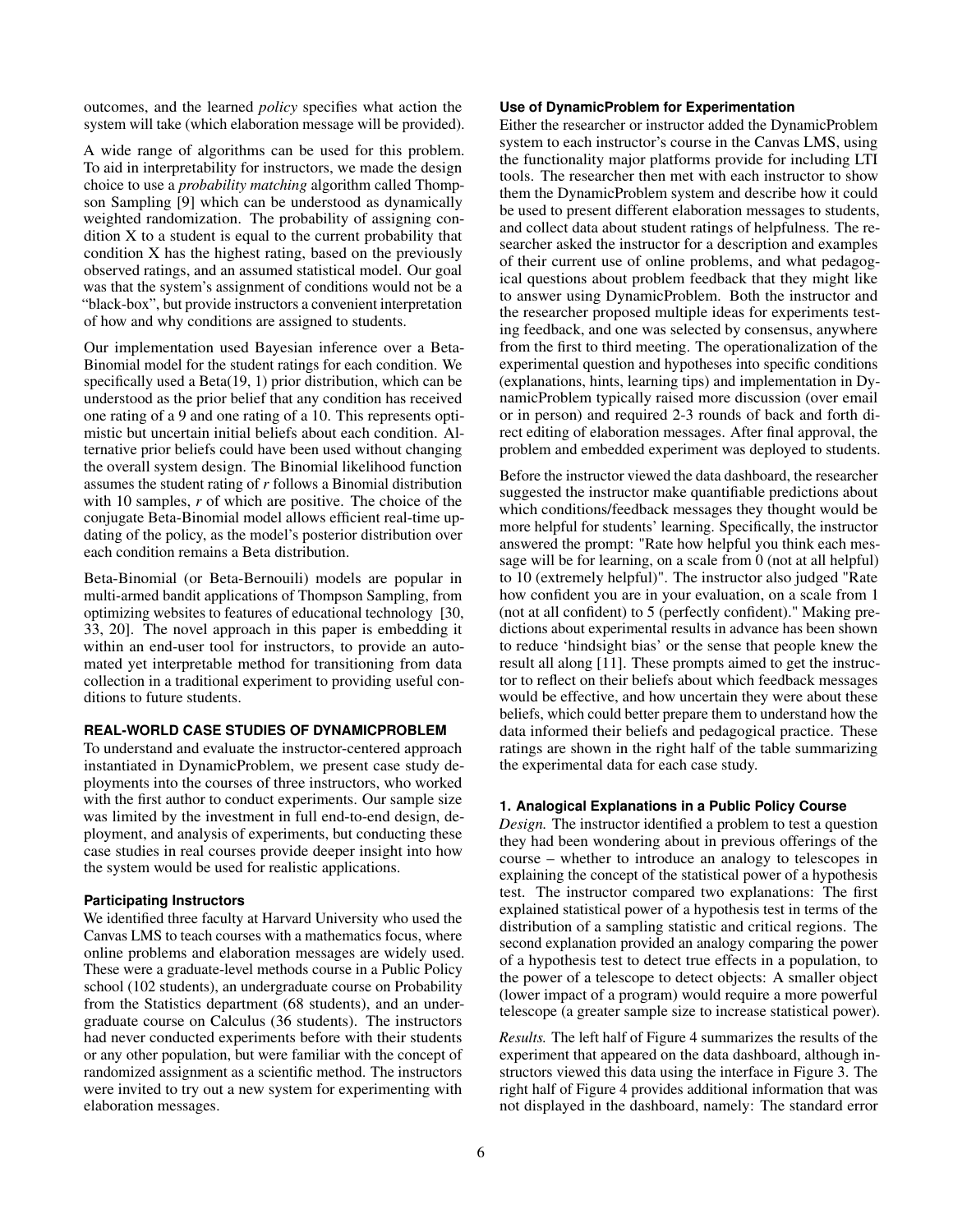outcomes, and the learned *policy* specifies what action the system will take (which elaboration message will be provided).

A wide range of algorithms can be used for this problem. To aid in interpretability for instructors, we made the design choice to use a *probability matching* algorithm called Thompson Sampling [\[9\]](#page-10-19) which can be understood as dynamically weighted randomization. The probability of assigning condition X to a student is equal to the current probability that condition X has the highest rating, based on the previously observed ratings, and an assumed statistical model. Our goal was that the system's assignment of conditions would not be a "black-box", but provide instructors a convenient interpretation of how and why conditions are assigned to students.

Our implementation used Bayesian inference over a Beta-Binomial model for the student ratings for each condition. We specifically used a Beta(19, 1) prior distribution, which can be understood as the prior belief that any condition has received one rating of a 9 and one rating of a 10. This represents optimistic but uncertain initial beliefs about each condition. Alternative prior beliefs could have been used without changing the overall system design. The Binomial likelihood function assumes the student rating of *r* follows a Binomial distribution with 10 samples, *r* of which are positive. The choice of the conjugate Beta-Binomial model allows efficient real-time updating of the policy, as the model's posterior distribution over each condition remains a Beta distribution.

Beta-Binomial (or Beta-Bernouili) models are popular in multi-armed bandit applications of Thompson Sampling, from optimizing websites to features of educational technology [\[30,](#page-11-10) [33,](#page-11-9) [20\]](#page-10-18). The novel approach in this paper is embedding it within an end-user tool for instructors, to provide an automated yet interpretable method for transitioning from data collection in a traditional experiment to providing useful conditions to future students.

#### **REAL-WORLD CASE STUDIES OF DYNAMICPROBLEM**

To understand and evaluate the instructor-centered approach instantiated in DynamicProblem, we present case study deployments into the courses of three instructors, who worked with the first author to conduct experiments. Our sample size was limited by the investment in full end-to-end design, deployment, and analysis of experiments, but conducting these case studies in real courses provide deeper insight into how the system would be used for realistic applications.

#### **Participating Instructors**

We identified three faculty at Harvard University who used the Canvas LMS to teach courses with a mathematics focus, where online problems and elaboration messages are widely used. These were a graduate-level methods course in a Public Policy school (102 students), an undergraduate course on Probability from the Statistics department (68 students), and an undergraduate course on Calculus (36 students). The instructors had never conducted experiments before with their students or any other population, but were familiar with the concept of randomized assignment as a scientific method. The instructors were invited to try out a new system for experimenting with elaboration messages.

#### **Use of DynamicProblem for Experimentation**

Either the researcher or instructor added the DynamicProblem system to each instructor's course in the Canvas LMS, using the functionality major platforms provide for including LTI tools. The researcher then met with each instructor to show them the DynamicProblem system and describe how it could be used to present different elaboration messages to students, and collect data about student ratings of helpfulness. The researcher asked the instructor for a description and examples of their current use of online problems, and what pedagogical questions about problem feedback that they might like to answer using DynamicProblem. Both the instructor and the researcher proposed multiple ideas for experiments testing feedback, and one was selected by consensus, anywhere from the first to third meeting. The operationalization of the experimental question and hypotheses into specific conditions (explanations, hints, learning tips) and implementation in DynamicProblem typically raised more discussion (over email or in person) and required 2-3 rounds of back and forth direct editing of elaboration messages. After final approval, the problem and embedded experiment was deployed to students.

Before the instructor viewed the data dashboard, the researcher suggested the instructor make quantifiable predictions about which conditions/feedback messages they thought would be more helpful for students' learning. Specifically, the instructor answered the prompt: "Rate how helpful you think each message will be for learning, on a scale from 0 (not at all helpful) to 10 (extremely helpful)". The instructor also judged "Rate how confident you are in your evaluation, on a scale from 1 (not at all confident) to 5 (perfectly confident)." Making predictions about experimental results in advance has been shown to reduce 'hindsight bias' or the sense that people knew the result all along [\[11\]](#page-10-20). These prompts aimed to get the instructor to reflect on their beliefs about which feedback messages would be effective, and how uncertain they were about these beliefs, which could better prepare them to understand how the data informed their beliefs and pedagogical practice. These ratings are shown in the right half of the table summarizing the experimental data for each case study.

# **1. Analogical Explanations in a Public Policy Course**

*Design.* The instructor identified a problem to test a question they had been wondering about in previous offerings of the course – whether to introduce an analogy to telescopes in explaining the concept of the statistical power of a hypothesis test. The instructor compared two explanations: The first explained statistical power of a hypothesis test in terms of the distribution of a sampling statistic and critical regions. The second explanation provided an analogy comparing the power of a hypothesis test to detect true effects in a population, to the power of a telescope to detect objects: A smaller object (lower impact of a program) would require a more powerful telescope (a greater sample size to increase statistical power).

*Results.* The left half of Figure [4](#page-6-0) summarizes the results of the experiment that appeared on the data dashboard, although instructors viewed this data using the interface in Figure [3.](#page-4-1) The right half of Figure [4](#page-6-0) provides additional information that was not displayed in the dashboard, namely: The standard error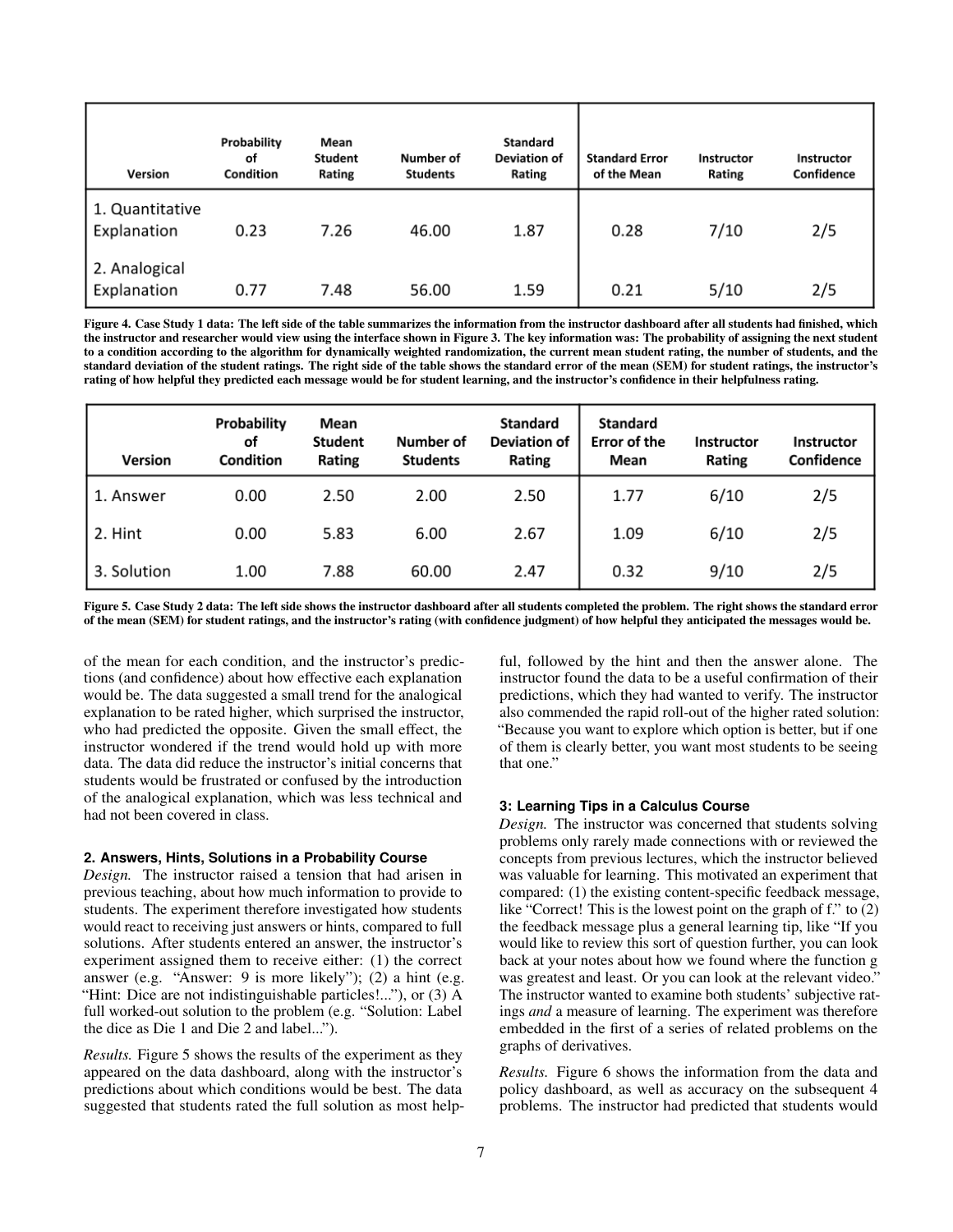| Version                        | Probability<br>of<br>Condition | Mean<br>Student<br>Rating | Number of<br><b>Students</b> | Standard<br>Deviation of<br>Rating | <b>Standard Error</b><br>of the Mean | Instructor<br>Rating | Instructor<br>Confidence |
|--------------------------------|--------------------------------|---------------------------|------------------------------|------------------------------------|--------------------------------------|----------------------|--------------------------|
| 1. Quantitative<br>Explanation | 0.23                           | 7.26                      | 46.00                        | 1.87                               | 0.28                                 | 7/10                 | 2/5                      |
| 2. Analogical<br>Explanation   | 0.77                           | 7.48                      | 56.00                        | 1.59                               | 0.21                                 | 5/10                 | 2/5                      |

<span id="page-6-0"></span>Figure 4. Case Study 1 data: The left side of the table summarizes the information from the instructor dashboard after all students had finished, which the instructor and researcher would view using the interface shown in Figure [3.](#page-4-1) The key information was: The probability of assigning the next student to a condition according to the algorithm for dynamically weighted randomization, the current mean student rating, the number of students, and the standard deviation of the student ratings. The right side of the table shows the standard error of the mean (SEM) for student ratings, the instructor's rating of how helpful they predicted each message would be for student learning, and the instructor's confidence in their helpfulness rating.

| Version     | Probability<br>οf<br>Condition | Mean<br><b>Student</b><br>Rating | Number of<br><b>Students</b> | Standard<br><b>Deviation of</b><br>Rating | <b>Standard</b><br><b>Error of the</b><br>Mean | Instructor<br>Rating | Instructor<br>Confidence |
|-------------|--------------------------------|----------------------------------|------------------------------|-------------------------------------------|------------------------------------------------|----------------------|--------------------------|
| 1. Answer   | 0.00                           | 2.50                             | 2.00                         | 2.50                                      | 1.77                                           | 6/10                 | 2/5                      |
| 2. Hint     | 0.00                           | 5.83                             | 6.00                         | 2.67                                      | 1.09                                           | 6/10                 | 2/5                      |
| 3. Solution | 1.00                           | 7.88                             | 60.00                        | 2.47                                      | 0.32                                           | 9/10                 | 2/5                      |

<span id="page-6-1"></span>Figure 5. Case Study 2 data: The left side shows the instructor dashboard after all students completed the problem. The right shows the standard error of the mean (SEM) for student ratings, and the instructor's rating (with confidence judgment) of how helpful they anticipated the messages would be.

of the mean for each condition, and the instructor's predictions (and confidence) about how effective each explanation would be. The data suggested a small trend for the analogical explanation to be rated higher, which surprised the instructor, who had predicted the opposite. Given the small effect, the instructor wondered if the trend would hold up with more data. The data did reduce the instructor's initial concerns that students would be frustrated or confused by the introduction of the analogical explanation, which was less technical and had not been covered in class.

#### **2. Answers, Hints, Solutions in a Probability Course**

*Design.* The instructor raised a tension that had arisen in previous teaching, about how much information to provide to students. The experiment therefore investigated how students would react to receiving just answers or hints, compared to full solutions. After students entered an answer, the instructor's experiment assigned them to receive either: (1) the correct answer (e.g. "Answer: 9 is more likely"); (2) a hint (e.g. "Hint: Dice are not indistinguishable particles!..."), or (3) A full worked-out solution to the problem (e.g. "Solution: Label the dice as Die 1 and Die 2 and label...").

*Results.* Figure [5](#page-6-1) shows the results of the experiment as they appeared on the data dashboard, along with the instructor's predictions about which conditions would be best. The data suggested that students rated the full solution as most helpful, followed by the hint and then the answer alone. The instructor found the data to be a useful confirmation of their predictions, which they had wanted to verify. The instructor also commended the rapid roll-out of the higher rated solution: "Because you want to explore which option is better, but if one of them is clearly better, you want most students to be seeing that one."

# **3: Learning Tips in a Calculus Course**

*Design.* The instructor was concerned that students solving problems only rarely made connections with or reviewed the concepts from previous lectures, which the instructor believed was valuable for learning. This motivated an experiment that compared: (1) the existing content-specific feedback message, like "Correct! This is the lowest point on the graph of f." to (2) the feedback message plus a general learning tip, like "If you would like to review this sort of question further, you can look back at your notes about how we found where the function g was greatest and least. Or you can look at the relevant video.' The instructor wanted to examine both students' subjective ratings *and* a measure of learning. The experiment was therefore embedded in the first of a series of related problems on the graphs of derivatives.

*Results.* Figure [6](#page-7-0) shows the information from the data and policy dashboard, as well as accuracy on the subsequent 4 problems. The instructor had predicted that students would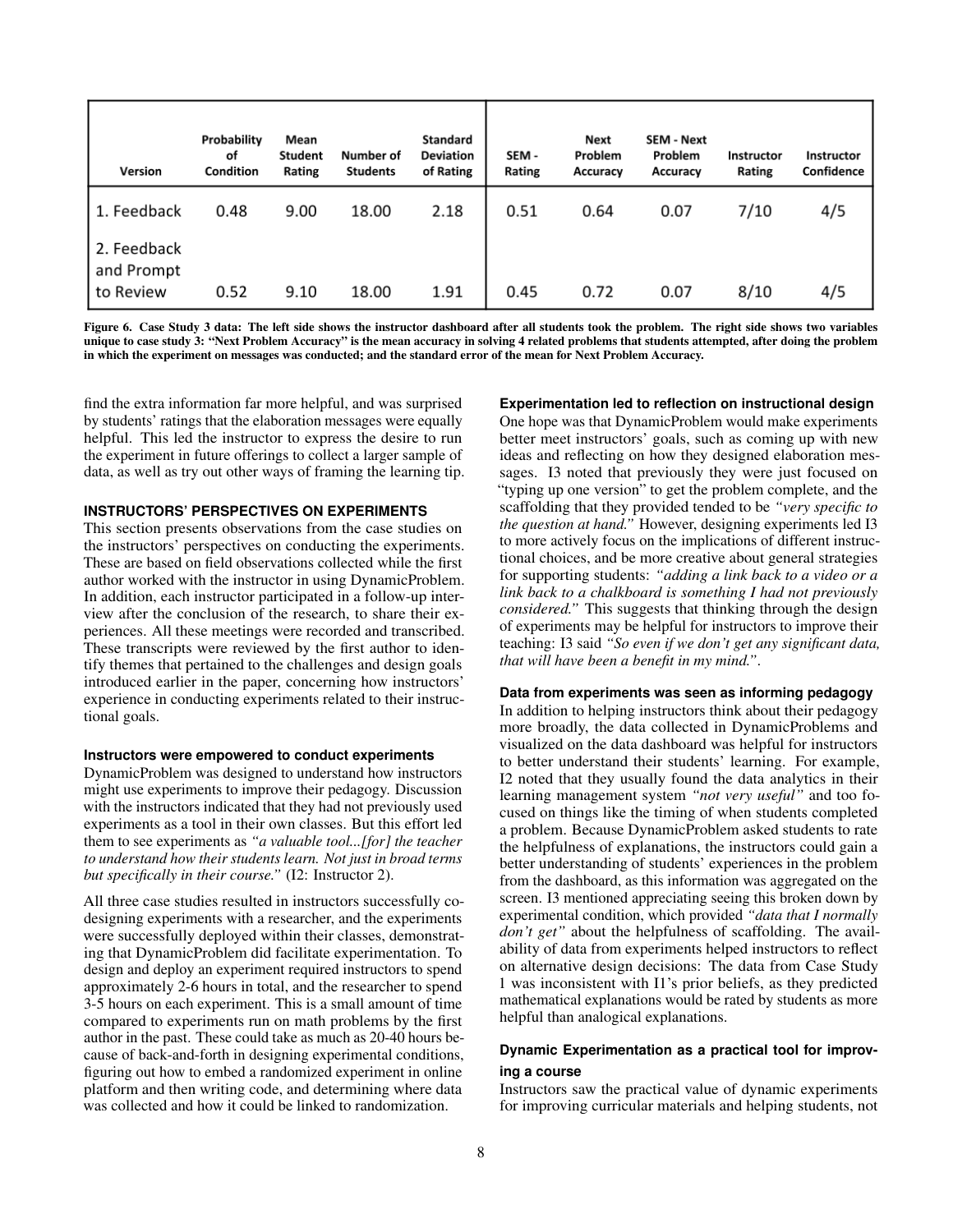| Version                                | Probability<br>of<br>Condition | Mean<br>Student<br>Rating | Number of<br><b>Students</b> | Standard<br><b>Deviation</b><br>of Rating | SEM-<br>Rating | Next<br>Problem<br>Accuracy | <b>SEM - Next</b><br>Problem<br>Accuracy | Instructor<br>Rating | Instructor<br>Confidence |
|----------------------------------------|--------------------------------|---------------------------|------------------------------|-------------------------------------------|----------------|-----------------------------|------------------------------------------|----------------------|--------------------------|
| 1. Feedback                            | 0.48                           | 9.00                      | 18.00                        | 2.18                                      | 0.51           | 0.64                        | 0.07                                     | 7/10                 | 4/5                      |
| 2. Feedback<br>and Prompt<br>to Review | 0.52                           | 9.10                      | 18.00                        | 1.91                                      | 0.45           | 0.72                        | 0.07                                     | 8/10                 | 4/5                      |

<span id="page-7-0"></span>Figure 6. Case Study 3 data: The left side shows the instructor dashboard after all students took the problem. The right side shows two variables unique to case study 3: "Next Problem Accuracy" is the mean accuracy in solving 4 related problems that students attempted, after doing the problem in which the experiment on messages was conducted; and the standard error of the mean for Next Problem Accuracy.

find the extra information far more helpful, and was surprised by students' ratings that the elaboration messages were equally helpful. This led the instructor to express the desire to run the experiment in future offerings to collect a larger sample of data, as well as try out other ways of framing the learning tip.

#### **INSTRUCTORS' PERSPECTIVES ON EXPERIMENTS**

This section presents observations from the case studies on the instructors' perspectives on conducting the experiments. These are based on field observations collected while the first author worked with the instructor in using DynamicProblem. In addition, each instructor participated in a follow-up interview after the conclusion of the research, to share their experiences. All these meetings were recorded and transcribed. These transcripts were reviewed by the first author to identify themes that pertained to the challenges and design goals introduced earlier in the paper, concerning how instructors' experience in conducting experiments related to their instructional goals.

#### **Instructors were empowered to conduct experiments**

DynamicProblem was designed to understand how instructors might use experiments to improve their pedagogy. Discussion with the instructors indicated that they had not previously used experiments as a tool in their own classes. But this effort led them to see experiments as *"a valuable tool...[for] the teacher to understand how their students learn. Not just in broad terms but specifically in their course."* (I2: Instructor 2).

All three case studies resulted in instructors successfully codesigning experiments with a researcher, and the experiments were successfully deployed within their classes, demonstrating that DynamicProblem did facilitate experimentation. To design and deploy an experiment required instructors to spend approximately 2-6 hours in total, and the researcher to spend 3-5 hours on each experiment. This is a small amount of time compared to experiments run on math problems by the first author in the past. These could take as much as 20-40 hours because of back-and-forth in designing experimental conditions, figuring out how to embed a randomized experiment in online platform and then writing code, and determining where data was collected and how it could be linked to randomization.

**Experimentation led to reflection on instructional design** One hope was that DynamicProblem would make experiments better meet instructors' goals, such as coming up with new ideas and reflecting on how they designed elaboration messages. I3 noted that previously they were just focused on "typing up one version" to get the problem complete, and the scaffolding that they provided tended to be *"very specific to the question at hand."* However, designing experiments led I3 to more actively focus on the implications of different instructional choices, and be more creative about general strategies for supporting students: *"adding a link back to a video or a link back to a chalkboard is something I had not previously considered."* This suggests that thinking through the design of experiments may be helpful for instructors to improve their teaching: I3 said *"So even if we don't get any significant data, that will have been a benefit in my mind."*.

#### **Data from experiments was seen as informing pedagogy**

In addition to helping instructors think about their pedagogy more broadly, the data collected in DynamicProblems and visualized on the data dashboard was helpful for instructors to better understand their students' learning. For example, I2 noted that they usually found the data analytics in their learning management system *"not very useful"* and too focused on things like the timing of when students completed a problem. Because DynamicProblem asked students to rate the helpfulness of explanations, the instructors could gain a better understanding of students' experiences in the problem from the dashboard, as this information was aggregated on the screen. I3 mentioned appreciating seeing this broken down by experimental condition, which provided *"data that I normally don't get"* about the helpfulness of scaffolding. The availability of data from experiments helped instructors to reflect on alternative design decisions: The data from Case Study 1 was inconsistent with I1's prior beliefs, as they predicted mathematical explanations would be rated by students as more helpful than analogical explanations.

# **Dynamic Experimentation as a practical tool for improving a course**

Instructors saw the practical value of dynamic experiments for improving curricular materials and helping students, not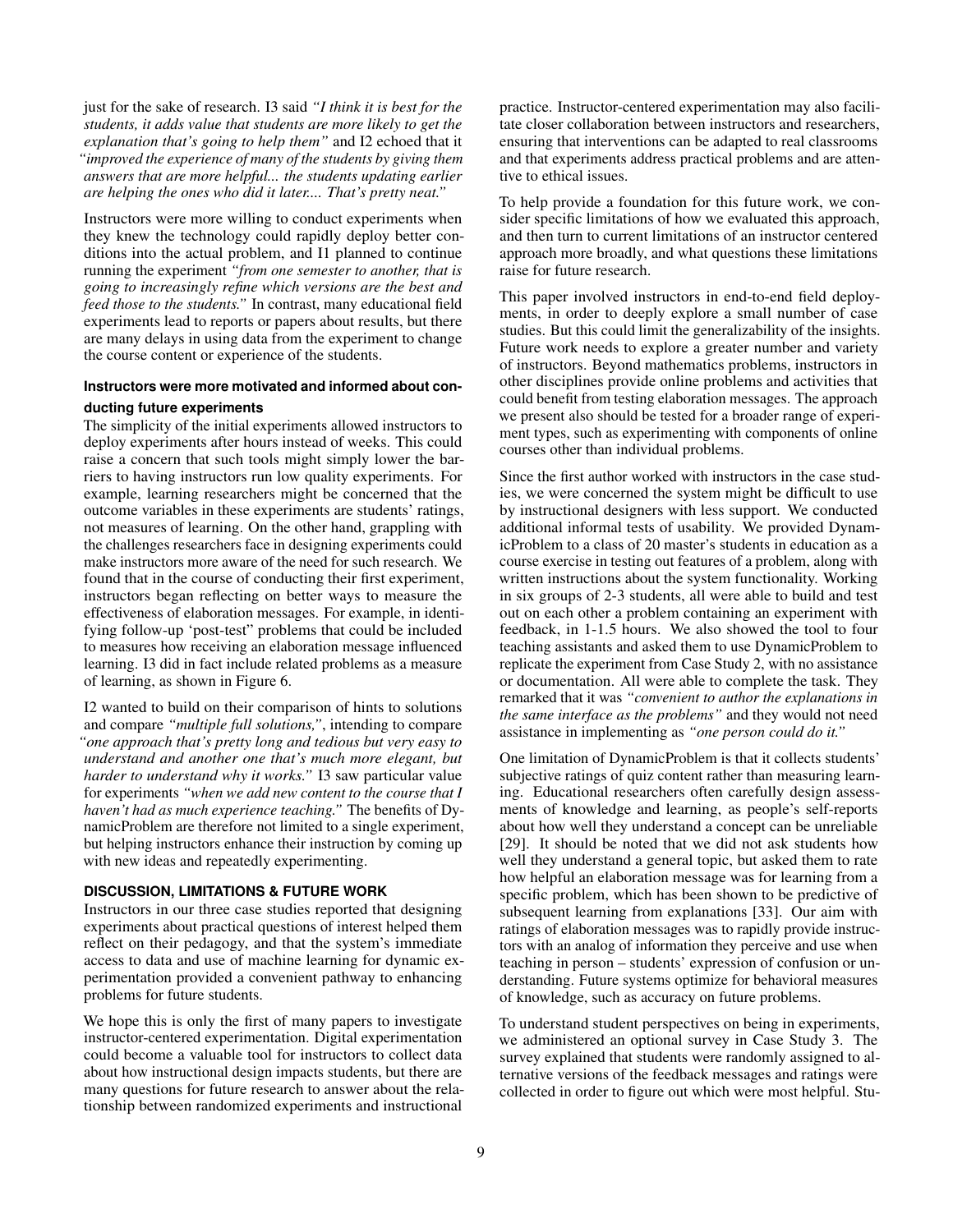just for the sake of research. I3 said *"I think it is best for the students, it adds value that students are more likely to get the explanation that's going to help them"* and I2 echoed that it *"improved the experience of many of the students by giving them answers that are more helpful... the students updating earlier are helping the ones who did it later.... That's pretty neat."*

Instructors were more willing to conduct experiments when they knew the technology could rapidly deploy better conditions into the actual problem, and I1 planned to continue running the experiment *"from one semester to another, that is going to increasingly refine which versions are the best and feed those to the students."* In contrast, many educational field experiments lead to reports or papers about results, but there are many delays in using data from the experiment to change the course content or experience of the students.

# **Instructors were more motivated and informed about con-**

# **ducting future experiments**

The simplicity of the initial experiments allowed instructors to deploy experiments after hours instead of weeks. This could raise a concern that such tools might simply lower the barriers to having instructors run low quality experiments. For example, learning researchers might be concerned that the outcome variables in these experiments are students' ratings, not measures of learning. On the other hand, grappling with the challenges researchers face in designing experiments could make instructors more aware of the need for such research. We found that in the course of conducting their first experiment, instructors began reflecting on better ways to measure the effectiveness of elaboration messages. For example, in identifying follow-up 'post-test" problems that could be included to measures how receiving an elaboration message influenced learning. I3 did in fact include related problems as a measure of learning, as shown in Figure [6.](#page-7-0)

I2 wanted to build on their comparison of hints to solutions and compare *"multiple full solutions,"*, intending to compare *"one approach that's pretty long and tedious but very easy to understand and another one that's much more elegant, but harder to understand why it works."* I3 saw particular value for experiments *"when we add new content to the course that I haven't had as much experience teaching."* The benefits of DynamicProblem are therefore not limited to a single experiment, but helping instructors enhance their instruction by coming up with new ideas and repeatedly experimenting.

# **DISCUSSION, LIMITATIONS & FUTURE WORK**

Instructors in our three case studies reported that designing experiments about practical questions of interest helped them reflect on their pedagogy, and that the system's immediate access to data and use of machine learning for dynamic experimentation provided a convenient pathway to enhancing problems for future students.

We hope this is only the first of many papers to investigate instructor-centered experimentation. Digital experimentation could become a valuable tool for instructors to collect data about how instructional design impacts students, but there are many questions for future research to answer about the relationship between randomized experiments and instructional

practice. Instructor-centered experimentation may also facilitate closer collaboration between instructors and researchers, ensuring that interventions can be adapted to real classrooms and that experiments address practical problems and are attentive to ethical issues.

To help provide a foundation for this future work, we consider specific limitations of how we evaluated this approach, and then turn to current limitations of an instructor centered approach more broadly, and what questions these limitations raise for future research.

This paper involved instructors in end-to-end field deployments, in order to deeply explore a small number of case studies. But this could limit the generalizability of the insights. Future work needs to explore a greater number and variety of instructors. Beyond mathematics problems, instructors in other disciplines provide online problems and activities that could benefit from testing elaboration messages. The approach we present also should be tested for a broader range of experiment types, such as experimenting with components of online courses other than individual problems.

Since the first author worked with instructors in the case studies, we were concerned the system might be difficult to use by instructional designers with less support. We conducted additional informal tests of usability. We provided DynamicProblem to a class of 20 master's students in education as a course exercise in testing out features of a problem, along with written instructions about the system functionality. Working in six groups of 2-3 students, all were able to build and test out on each other a problem containing an experiment with feedback, in 1-1.5 hours. We also showed the tool to four teaching assistants and asked them to use DynamicProblem to replicate the experiment from Case Study 2, with no assistance or documentation. All were able to complete the task. They remarked that it was *"convenient to author the explanations in the same interface as the problems"* and they would not need assistance in implementing as *"one person could do it."*

One limitation of DynamicProblem is that it collects students' subjective ratings of quiz content rather than measuring learning. Educational researchers often carefully design assessments of knowledge and learning, as people's self-reports about how well they understand a concept can be unreliable [\[29\]](#page-11-11). It should be noted that we did not ask students how well they understand a general topic, but asked them to rate how helpful an elaboration message was for learning from a specific problem, which has been shown to be predictive of subsequent learning from explanations [\[33\]](#page-11-9). Our aim with ratings of elaboration messages was to rapidly provide instructors with an analog of information they perceive and use when teaching in person – students' expression of confusion or understanding. Future systems optimize for behavioral measures of knowledge, such as accuracy on future problems.

To understand student perspectives on being in experiments, we administered an optional survey in Case Study 3. The survey explained that students were randomly assigned to alternative versions of the feedback messages and ratings were collected in order to figure out which were most helpful. Stu-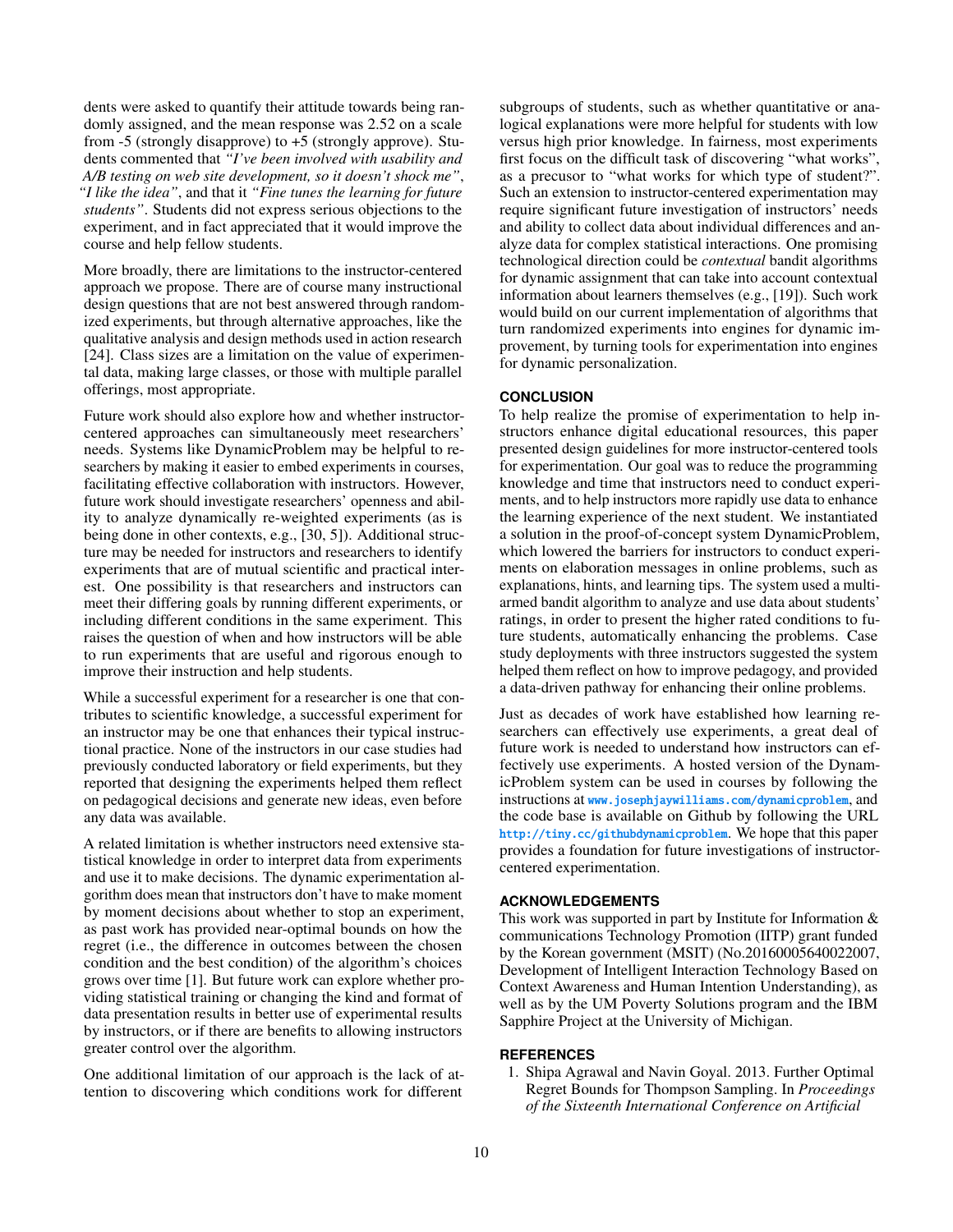dents were asked to quantify their attitude towards being randomly assigned, and the mean response was 2.52 on a scale from -5 (strongly disapprove) to +5 (strongly approve). Students commented that *"I've been involved with usability and A/B testing on web site development, so it doesn't shock me"*, *"I like the idea"*, and that it *"Fine tunes the learning for future students"*. Students did not express serious objections to the experiment, and in fact appreciated that it would improve the course and help fellow students.

More broadly, there are limitations to the instructor-centered approach we propose. There are of course many instructional design questions that are not best answered through randomized experiments, but through alternative approaches, like the qualitative analysis and design methods used in action research [\[24\]](#page-10-7). Class sizes are a limitation on the value of experimental data, making large classes, or those with multiple parallel offerings, most appropriate.

Future work should also explore how and whether instructorcentered approaches can simultaneously meet researchers' needs. Systems like DynamicProblem may be helpful to researchers by making it easier to embed experiments in courses, facilitating effective collaboration with instructors. However, future work should investigate researchers' openness and ability to analyze dynamically re-weighted experiments (as is being done in other contexts, e.g., [\[30,](#page-11-10) [5\]](#page-10-21)). Additional structure may be needed for instructors and researchers to identify experiments that are of mutual scientific and practical interest. One possibility is that researchers and instructors can meet their differing goals by running different experiments, or including different conditions in the same experiment. This raises the question of when and how instructors will be able to run experiments that are useful and rigorous enough to improve their instruction and help students.

While a successful experiment for a researcher is one that contributes to scientific knowledge, a successful experiment for an instructor may be one that enhances their typical instructional practice. None of the instructors in our case studies had previously conducted laboratory or field experiments, but they reported that designing the experiments helped them reflect on pedagogical decisions and generate new ideas, even before any data was available.

A related limitation is whether instructors need extensive statistical knowledge in order to interpret data from experiments and use it to make decisions. The dynamic experimentation algorithm does mean that instructors don't have to make moment by moment decisions about whether to stop an experiment, as past work has provided near-optimal bounds on how the regret (i.e., the difference in outcomes between the chosen condition and the best condition) of the algorithm's choices grows over time [\[1\]](#page-9-0). But future work can explore whether providing statistical training or changing the kind and format of data presentation results in better use of experimental results by instructors, or if there are benefits to allowing instructors greater control over the algorithm.

One additional limitation of our approach is the lack of attention to discovering which conditions work for different

subgroups of students, such as whether quantitative or analogical explanations were more helpful for students with low versus high prior knowledge. In fairness, most experiments first focus on the difficult task of discovering "what works", as a precusor to "what works for which type of student?". Such an extension to instructor-centered experimentation may require significant future investigation of instructors' needs and ability to collect data about individual differences and analyze data for complex statistical interactions. One promising technological direction could be *contextual* bandit algorithms for dynamic assignment that can take into account contextual information about learners themselves (e.g., [\[19\]](#page-10-22)). Such work would build on our current implementation of algorithms that turn randomized experiments into engines for dynamic improvement, by turning tools for experimentation into engines for dynamic personalization.

# **CONCLUSION**

To help realize the promise of experimentation to help instructors enhance digital educational resources, this paper presented design guidelines for more instructor-centered tools for experimentation. Our goal was to reduce the programming knowledge and time that instructors need to conduct experiments, and to help instructors more rapidly use data to enhance the learning experience of the next student. We instantiated a solution in the proof-of-concept system DynamicProblem, which lowered the barriers for instructors to conduct experiments on elaboration messages in online problems, such as explanations, hints, and learning tips. The system used a multiarmed bandit algorithm to analyze and use data about students' ratings, in order to present the higher rated conditions to future students, automatically enhancing the problems. Case study deployments with three instructors suggested the system helped them reflect on how to improve pedagogy, and provided a data-driven pathway for enhancing their online problems.

Just as decades of work have established how learning researchers can effectively use experiments, a great deal of future work is needed to understand how instructors can effectively use experiments. A hosted version of the DynamicProblem system can be used in courses by following the instructions at <www.josephjaywilliams.com/dynamicproblem>, and the code base is available on Github by following the URL <http://tiny.cc/githubdynamicproblem>. We hope that this paper provides a foundation for future investigations of instructorcentered experimentation.

#### **ACKNOWLEDGEMENTS**

This work was supported in part by Institute for Information & communications Technology Promotion (IITP) grant funded by the Korean government (MSIT) (No.20160005640022007, Development of Intelligent Interaction Technology Based on Context Awareness and Human Intention Understanding), as well as by the UM Poverty Solutions program and the IBM Sapphire Project at the University of Michigan.

#### <span id="page-9-0"></span>**REFERENCES**

1. Shipa Agrawal and Navin Goyal. 2013. Further Optimal Regret Bounds for Thompson Sampling. In *Proceedings of the Sixteenth International Conference on Artificial*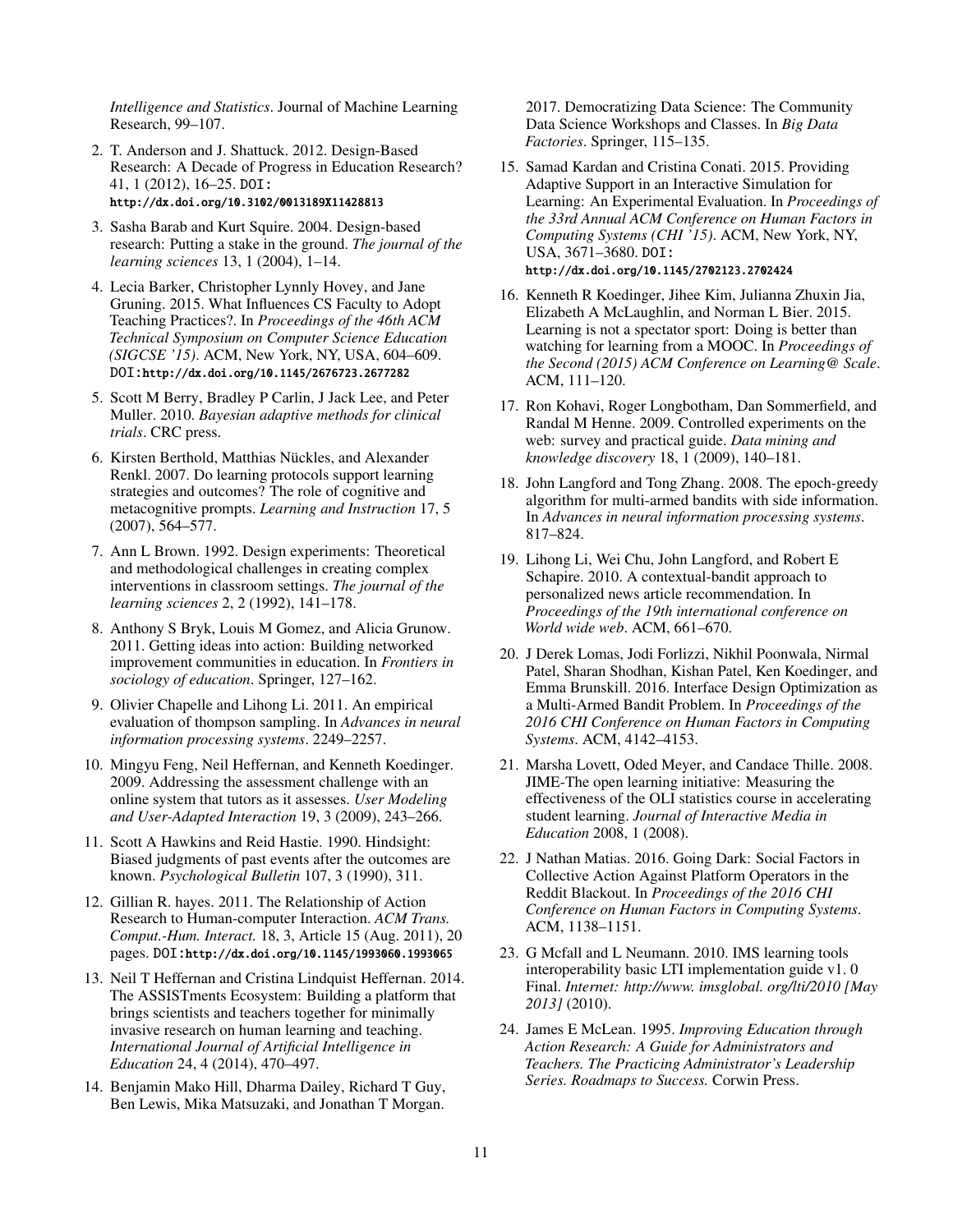*Intelligence and Statistics*. Journal of Machine Learning Research, 99–107.

- <span id="page-10-12"></span>2. T. Anderson and J. Shattuck. 2012. Design-Based Research: A Decade of Progress in Education Research? 41, 1 (2012), 16–25. DOI: <http://dx.doi.org/10.3102/0013189X11428813>
- <span id="page-10-8"></span>3. Sasha Barab and Kurt Squire. 2004. Design-based research: Putting a stake in the ground. *The journal of the learning sciences* 13, 1 (2004), 1–14.
- <span id="page-10-6"></span>4. Lecia Barker, Christopher Lynnly Hovey, and Jane Gruning. 2015. What Influences CS Faculty to Adopt Teaching Practices?. In *Proceedings of the 46th ACM Technical Symposium on Computer Science Education (SIGCSE '15)*. ACM, New York, NY, USA, 604–609. DOI:<http://dx.doi.org/10.1145/2676723.2677282>
- <span id="page-10-21"></span>5. Scott M Berry, Bradley P Carlin, J Jack Lee, and Peter Muller. 2010. *Bayesian adaptive methods for clinical trials*. CRC press.
- <span id="page-10-16"></span>6. Kirsten Berthold, Matthias Nückles, and Alexander Renkl. 2007. Do learning protocols support learning strategies and outcomes? The role of cognitive and metacognitive prompts. *Learning and Instruction* 17, 5 (2007), 564–577.
- <span id="page-10-11"></span>7. Ann L Brown. 1992. Design experiments: Theoretical and methodological challenges in creating complex interventions in classroom settings. *The journal of the learning sciences* 2, 2 (1992), 141–178.
- <span id="page-10-13"></span>8. Anthony S Bryk, Louis M Gomez, and Alicia Grunow. 2011. Getting ideas into action: Building networked improvement communities in education. In *Frontiers in sociology of education*. Springer, 127–162.
- <span id="page-10-19"></span>9. Olivier Chapelle and Lihong Li. 2011. An empirical evaluation of thompson sampling. In *Advances in neural information processing systems*. 2249–2257.
- <span id="page-10-0"></span>10. Mingyu Feng, Neil Heffernan, and Kenneth Koedinger. 2009. Addressing the assessment challenge with an online system that tutors as it assesses. *User Modeling and User-Adapted Interaction* 19, 3 (2009), 243–266.
- <span id="page-10-20"></span>11. Scott A Hawkins and Reid Hastie. 1990. Hindsight: Biased judgments of past events after the outcomes are known. *Psychological Bulletin* 107, 3 (1990), 311.
- <span id="page-10-10"></span>12. Gillian R. hayes. 2011. The Relationship of Action Research to Human-computer Interaction. *ACM Trans. Comput.-Hum. Interact.* 18, 3, Article 15 (Aug. 2011), 20 pages. DOI:<http://dx.doi.org/10.1145/1993060.1993065>
- <span id="page-10-5"></span>13. Neil T Heffernan and Cristina Lindquist Heffernan. 2014. The ASSISTments Ecosystem: Building a platform that brings scientists and teachers together for minimally invasive research on human learning and teaching. *International Journal of Artificial Intelligence in Education* 24, 4 (2014), 470–497.
- <span id="page-10-1"></span>14. Benjamin Mako Hill, Dharma Dailey, Richard T Guy, Ben Lewis, Mika Matsuzaki, and Jonathan T Morgan.

2017. Democratizing Data Science: The Community Data Science Workshops and Classes. In *Big Data Factories*. Springer, 115–135.

- <span id="page-10-15"></span>15. Samad Kardan and Cristina Conati. 2015. Providing Adaptive Support in an Interactive Simulation for Learning: An Experimental Evaluation. In *Proceedings of the 33rd Annual ACM Conference on Human Factors in Computing Systems (CHI '15)*. ACM, New York, NY, USA, 3671–3680. DOI: <http://dx.doi.org/10.1145/2702123.2702424>
- <span id="page-10-14"></span>16. Kenneth R Koedinger, Jihee Kim, Julianna Zhuxin Jia, Elizabeth A McLaughlin, and Norman L Bier. 2015. Learning is not a spectator sport: Doing is better than watching for learning from a MOOC. In *Proceedings of the Second (2015) ACM Conference on Learning@ Scale*. ACM, 111–120.
- <span id="page-10-3"></span>17. Ron Kohavi, Roger Longbotham, Dan Sommerfield, and Randal M Henne. 2009. Controlled experiments on the web: survey and practical guide. *Data mining and knowledge discovery* 18, 1 (2009), 140–181.
- <span id="page-10-17"></span>18. John Langford and Tong Zhang. 2008. The epoch-greedy algorithm for multi-armed bandits with side information. In *Advances in neural information processing systems*. 817–824.
- <span id="page-10-22"></span>19. Lihong Li, Wei Chu, John Langford, and Robert E Schapire. 2010. A contextual-bandit approach to personalized news article recommendation. In *Proceedings of the 19th international conference on World wide web*. ACM, 661–670.
- <span id="page-10-18"></span>20. J Derek Lomas, Jodi Forlizzi, Nikhil Poonwala, Nirmal Patel, Sharan Shodhan, Kishan Patel, Ken Koedinger, and Emma Brunskill. 2016. Interface Design Optimization as a Multi-Armed Bandit Problem. In *Proceedings of the 2016 CHI Conference on Human Factors in Computing Systems*. ACM, 4142–4153.
- <span id="page-10-9"></span>21. Marsha Lovett, Oded Meyer, and Candace Thille. 2008. JIME-The open learning initiative: Measuring the effectiveness of the OLI statistics course in accelerating student learning. *Journal of Interactive Media in Education* 2008, 1 (2008).
- <span id="page-10-2"></span>22. J Nathan Matias. 2016. Going Dark: Social Factors in Collective Action Against Platform Operators in the Reddit Blackout. In *Proceedings of the 2016 CHI Conference on Human Factors in Computing Systems*. ACM, 1138–1151.
- <span id="page-10-4"></span>23. G Mcfall and L Neumann. 2010. IMS learning tools interoperability basic LTI implementation guide v1. 0 Final. *Internet: http://www. imsglobal. org/lti/2010 [May 2013]* (2010).
- <span id="page-10-7"></span>24. James E McLean. 1995. *Improving Education through Action Research: A Guide for Administrators and Teachers. The Practicing Administrator's Leadership Series. Roadmaps to Success.* Corwin Press.